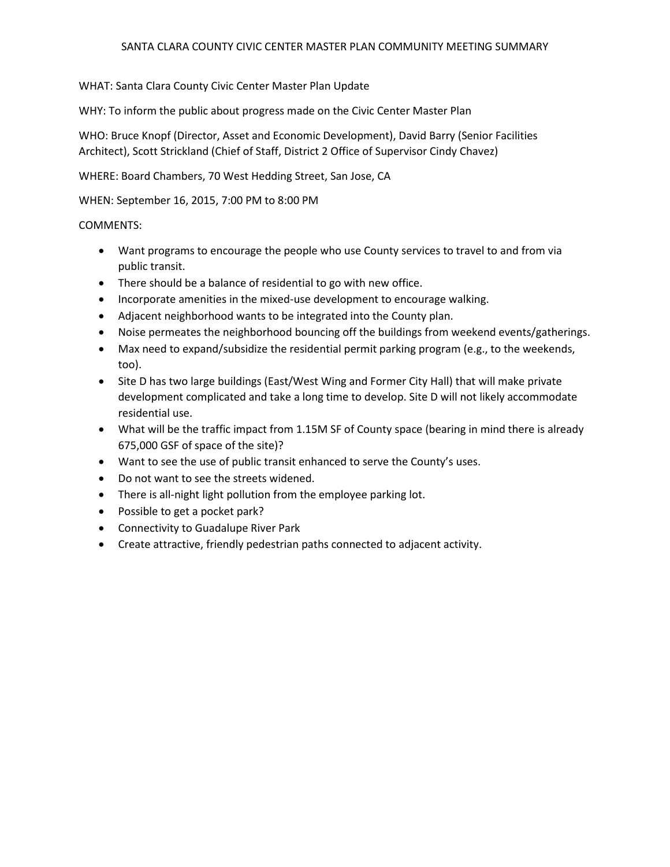## SANTA CLARA COUNTY CIVIC CENTER MASTER PLAN COMMUNITY MEETING SUMMARY

WHAT: Santa Clara County Civic Center Master Plan Update

WHY: To inform the public about progress made on the Civic Center Master Plan

WHO: Bruce Knopf (Director, Asset and Economic Development), David Barry (Senior Facilities Architect), Scott Strickland (Chief of Staff, District 2 Office of Supervisor Cindy Chavez)

WHERE: Board Chambers, 70 West Hedding Street, San Jose, CA

WHEN: September 16, 2015, 7:00 PM to 8:00 PM

## COMMENTS:

- Want programs to encourage the people who use County services to travel to and from via public transit.
- There should be a balance of residential to go with new office.
- Incorporate amenities in the mixed-use development to encourage walking.
- Adjacent neighborhood wants to be integrated into the County plan.
- Noise permeates the neighborhood bouncing off the buildings from weekend events/gatherings.
- Max need to expand/subsidize the residential permit parking program (e.g., to the weekends, too).
- Site D has two large buildings (East/West Wing and Former City Hall) that will make private development complicated and take a long time to develop. Site D will not likely accommodate residential use.
- What will be the traffic impact from 1.15M SF of County space (bearing in mind there is already 675,000 GSF of space of the site)?
- Want to see the use of public transit enhanced to serve the County's uses.
- Do not want to see the streets widened.
- There is all-night light pollution from the employee parking lot.
- Possible to get a pocket park?
- Connectivity to Guadalupe River Park
- Create attractive, friendly pedestrian paths connected to adjacent activity.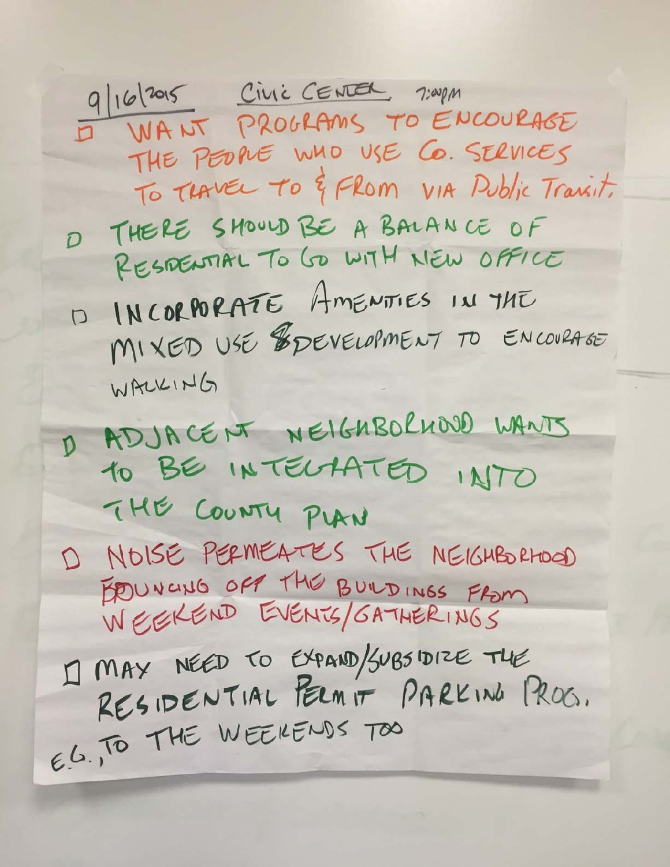9/16/2015 CIVIC CENTER 7:00pm I WANT PROGRAMS TO ENCOURAGE THE PEOPLE WHO USE CO. SERVICES To THAVEL TO & FROM VIA Public Trainit. D THERE SHOULD BE A BALANCE OF RESPENTIAL TO GO WITH NEW OFFICE D INCORPORATE AMENTIES IN THE MIXED USE ESPEVELOPMENT TO ENCOVRAGE WALKING D ADJACENT NEIGHBOLHOOD WANTS 10 BE INTELAATED INTO THE COUNTY PLAN D NOISE PERMEATES THE NEIGHBORHOOD EDUNCING OFF THE BUILDINGS FROM I] MAY NÉED TO EXPAND/SUBSIDIZE THE RESIDENTIAL PERMIT PARKING PROG. E.G., TO THE WEEKENDS TOO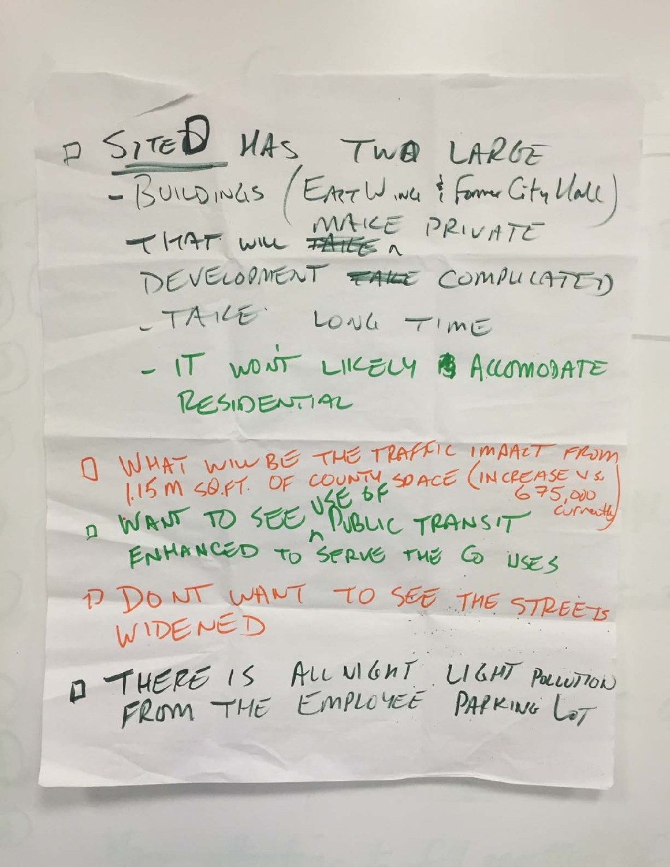P SITED MAS, TWO LARGE - BUILDINGS (EATLY ING & FORME CITY MALL)<br>THAT WILL PRIVATE DEVELOPMENT FALE COMPULATED - TAILE LONG TIME - IT WONT LIKELY B ACCOMODATE RESIDENTIAL O WHAT WILL BE THE TRAFFIC IMART FROM 115 M SO.FT. OF COUNTY SOACE (INCREASE VS. ENHANCED TO SERVE THE G USES D DONT WANT TO SEE THE STREETS WIDENED 1 THERE IS ALL VIGHT LIGHT POLLUTION FROM THE EMPLOYEE PAPKING LOT